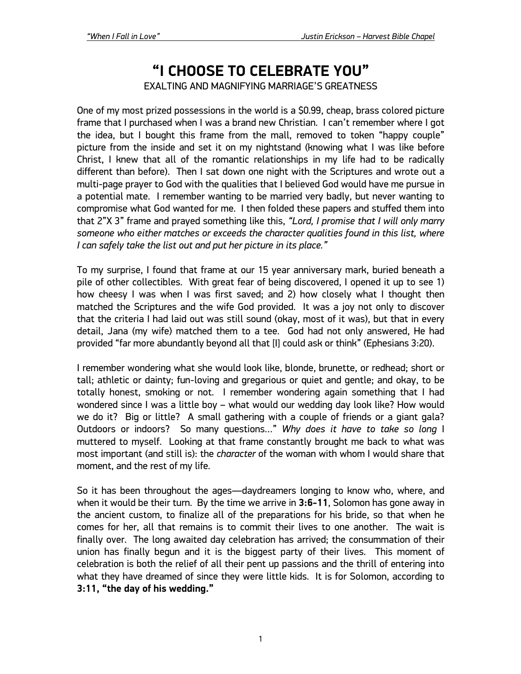## **"I CHOOSE TO CELEBRATE YOU"**

EXALTING AND MAGNIFYING MARRIAGE'S GREATNESS

One of my most prized possessions in the world is a \$0.99, cheap, brass colored picture frame that I purchased when I was a brand new Christian. I can't remember where I got the idea, but I bought this frame from the mall, removed to token "happy couple" picture from the inside and set it on my nightstand (knowing what I was like before Christ, I knew that all of the romantic relationships in my life had to be radically different than before). Then I sat down one night with the Scriptures and wrote out a multi-page prayer to God with the qualities that I believed God would have me pursue in a potential mate. I remember wanting to be married very badly, but never wanting to compromise what God wanted for me. I then folded these papers and stuffed them into that 2"X 3" frame and prayed something like this, *"Lord, I promise that I will only marry someone who either matches or exceeds the character qualities found in this list, where I can safely take the list out and put her picture in its place."*

To my surprise, I found that frame at our 15 year anniversary mark, buried beneath a pile of other collectibles. With great fear of being discovered, I opened it up to see 1) how cheesy I was when I was first saved; and 2) how closely what I thought then matched the Scriptures and the wife God provided. It was a joy not only to discover that the criteria I had laid out was still sound (okay, most of it was), but that in every detail, Jana (my wife) matched them to a tee. God had not only answered, He had provided "far more abundantly beyond all that [I] could ask or think" (Ephesians 3:20).

I remember wondering what she would look like, blonde, brunette, or redhead; short or tall; athletic or dainty; fun-loving and gregarious or quiet and gentle; and okay, to be totally honest, smoking or not. I remember wondering again something that I had wondered since I was a little boy – what would our wedding day look like? How would we do it? Big or little? A small gathering with a couple of friends or a giant gala? Outdoors or indoors? So many questions…" *Why does it have to take so long* I muttered to myself. Looking at that frame constantly brought me back to what was most important (and still is): the *character* of the woman with whom I would share that moment, and the rest of my life.

So it has been throughout the ages—daydreamers longing to know who, where, and when it would be their turn. By the time we arrive in **3:6-11**, Solomon has gone away in the ancient custom, to finalize all of the preparations for his bride, so that when he comes for her, all that remains is to commit their lives to one another. The wait is finally over. The long awaited day celebration has arrived; the consummation of their union has finally begun and it is the biggest party of their lives. This moment of celebration is both the relief of all their pent up passions and the thrill of entering into what they have dreamed of since they were little kids. It is for Solomon, according to **3:11, "the day of his wedding."**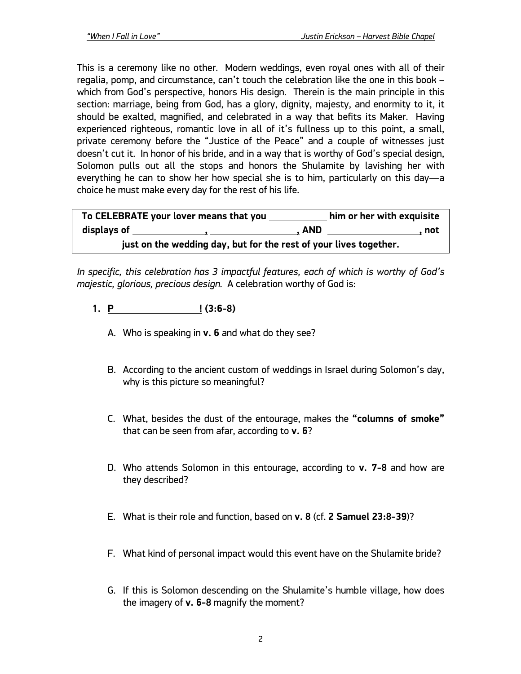This is a ceremony like no other. Modern weddings, even royal ones with all of their regalia, pomp, and circumstance, can't touch the celebration like the one in this book – which from God's perspective, honors His design. Therein is the main principle in this section: marriage, being from God, has a glory, dignity, majesty, and enormity to it, it should be exalted, magnified, and celebrated in a way that befits its Maker. Having experienced righteous, romantic love in all of it's fullness up to this point, a small, private ceremony before the "Justice of the Peace" and a couple of witnesses just doesn't cut it. In honor of his bride, and in a way that is worthy of God's special design, Solomon pulls out all the stops and honors the Shulamite by lavishing her with everything he can to show her how special she is to him, particularly on this day—a choice he must make every day for the rest of his life.

| To CELEBRATE your lover means that you                            |       | him or her with exquisite |
|-------------------------------------------------------------------|-------|---------------------------|
| displays of                                                       | , AND | . not                     |
| just on the wedding day, but for the rest of your lives together. |       |                           |

*In specific, this celebration has 3 impactful features, each of which is worthy of God's majestic, glorious, precious design.* A celebration worthy of God is:

- **1. P ! (3:6-8)**
	- A. Who is speaking in **v. 6** and what do they see?
	- B. According to the ancient custom of weddings in Israel during Solomon's day, why is this picture so meaningful?
	- C. What, besides the dust of the entourage, makes the **"columns of smoke"** that can be seen from afar, according to **v. 6**?
	- D. Who attends Solomon in this entourage, according to **v. 7-8** and how are they described?
	- E. What is their role and function, based on **v. 8** (cf. **2 Samuel 23:8-39**)?
	- F. What kind of personal impact would this event have on the Shulamite bride?
	- G. If this is Solomon descending on the Shulamite's humble village, how does the imagery of **v. 6-8** magnify the moment?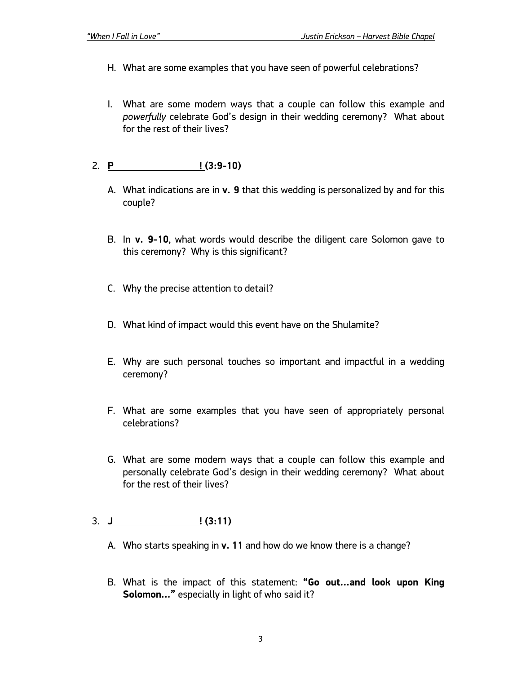- H. What are some examples that you have seen of powerful celebrations?
- I. What are some modern ways that a couple can follow this example and *powerfully* celebrate God's design in their wedding ceremony? What about for the rest of their lives?

## 2. **P ! (3:9-10)**

- A. What indications are in **v. 9** that this wedding is personalized by and for this couple?
- B. In **v. 9-10**, what words would describe the diligent care Solomon gave to this ceremony? Why is this significant?
- C. Why the precise attention to detail?
- D. What kind of impact would this event have on the Shulamite?
- E. Why are such personal touches so important and impactful in a wedding ceremony?
- F. What are some examples that you have seen of appropriately personal celebrations?
- G. What are some modern ways that a couple can follow this example and personally celebrate God's design in their wedding ceremony? What about for the rest of their lives?
- 3. **J ! (3:11)**
	- A. Who starts speaking in **v. 11** and how do we know there is a change?
	- B. What is the impact of this statement: **"Go out…and look upon King Solomon…"** especially in light of who said it?